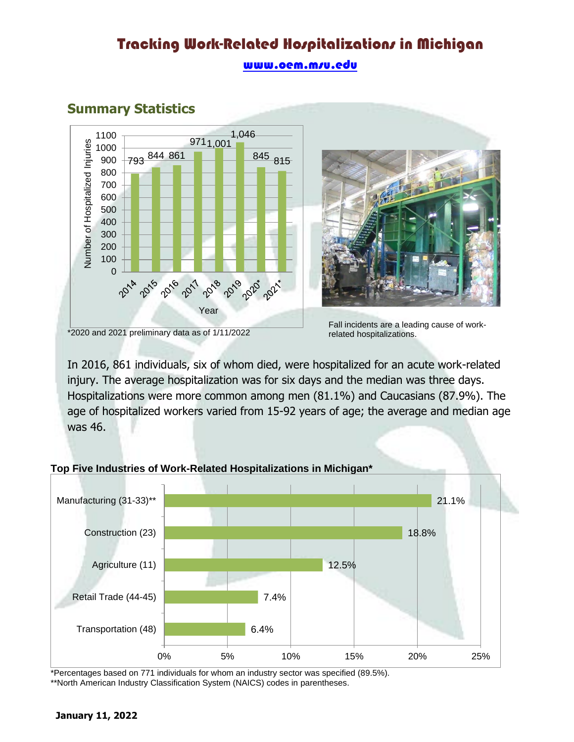# Tracking Work-Related Hospitalizations in Michigan

#### www.oem.m/u.edu



### **Summary Statistics**



Fall incidents are a leading cause of workrelated hospitalizations.

In 2016, 861 individuals, six of whom died, were hospitalized for an acute work-related injury. The average hospitalization was for six days and the median was three days. Hospitalizations were more common among men (81.1%) and Caucasians (87.9%). The age of hospitalized workers varied from 15-92 years of age; the average and median age was 46.

#### **Top Five Industries of Work-Related Hospitalizations in Michigan\***



\*Percentages based on 771 individuals for whom an industry sector was specified (89.5%).

\*\*North American Industry Classification System (NAICS) codes in parentheses.

<sup>\*2020</sup> and 2021 preliminary data as of 1/11/2022